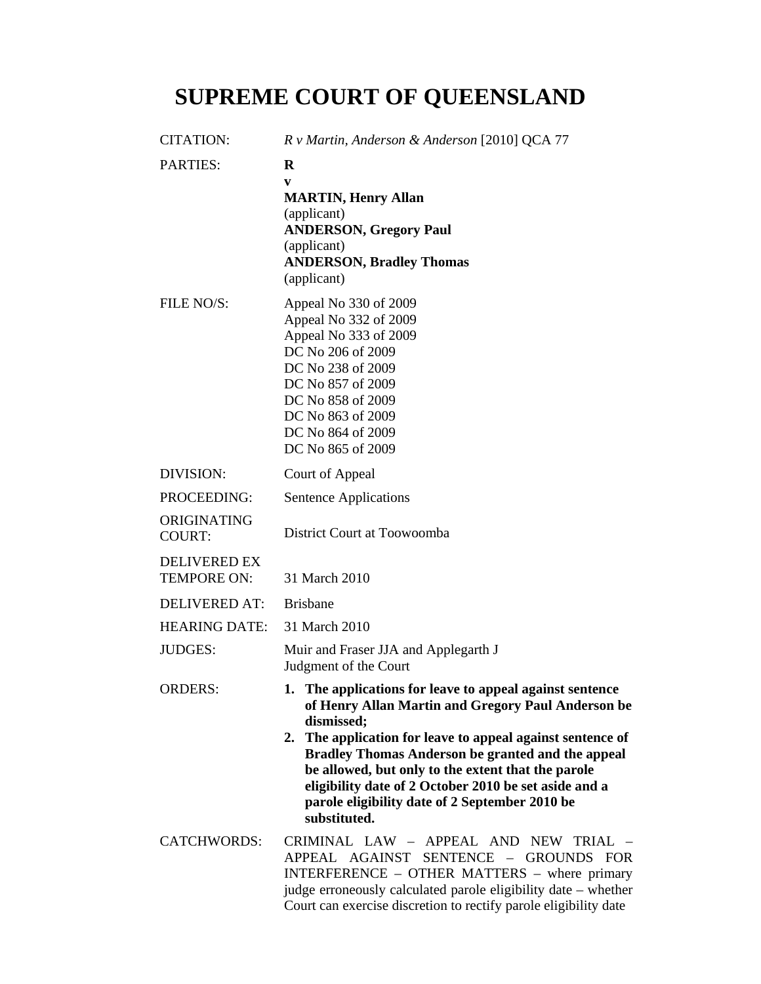## **SUPREME COURT OF QUEENSLAND**

| <b>CITATION:</b>                          | R v Martin, Anderson & Anderson [2010] QCA 77                                                                                                                                                                                                                                                                                                                                                                                           |
|-------------------------------------------|-----------------------------------------------------------------------------------------------------------------------------------------------------------------------------------------------------------------------------------------------------------------------------------------------------------------------------------------------------------------------------------------------------------------------------------------|
| <b>PARTIES:</b>                           | $\mathbf R$<br>V<br><b>MARTIN, Henry Allan</b><br>(applicant)<br><b>ANDERSON, Gregory Paul</b><br>(applicant)<br><b>ANDERSON, Bradley Thomas</b>                                                                                                                                                                                                                                                                                        |
|                                           | (applicant)                                                                                                                                                                                                                                                                                                                                                                                                                             |
| FILE NO/S:                                | Appeal No 330 of 2009<br>Appeal No 332 of 2009<br>Appeal No 333 of 2009<br>DC No 206 of 2009<br>DC No 238 of 2009<br>DC No 857 of 2009<br>DC No 858 of 2009<br>DC No 863 of 2009<br>DC No 864 of 2009<br>DC No 865 of 2009                                                                                                                                                                                                              |
| DIVISION:                                 | Court of Appeal                                                                                                                                                                                                                                                                                                                                                                                                                         |
| PROCEEDING:                               | Sentence Applications                                                                                                                                                                                                                                                                                                                                                                                                                   |
| ORIGINATING<br><b>COURT:</b>              | District Court at Toowoomba                                                                                                                                                                                                                                                                                                                                                                                                             |
| <b>DELIVERED EX</b><br><b>TEMPORE ON:</b> | 31 March 2010                                                                                                                                                                                                                                                                                                                                                                                                                           |
| <b>DELIVERED AT:</b>                      | <b>Brisbane</b>                                                                                                                                                                                                                                                                                                                                                                                                                         |
| <b>HEARING DATE:</b>                      | 31 March 2010                                                                                                                                                                                                                                                                                                                                                                                                                           |
| <b>JUDGES:</b>                            | Muir and Fraser JJA and Applegarth J<br>Judgment of the Court                                                                                                                                                                                                                                                                                                                                                                           |
| <b>ORDERS:</b>                            | 1. The applications for leave to appeal against sentence<br>of Henry Allan Martin and Gregory Paul Anderson be<br>dismissed;<br>2. The application for leave to appeal against sentence of<br><b>Bradley Thomas Anderson be granted and the appeal</b><br>be allowed, but only to the extent that the parole<br>eligibility date of 2 October 2010 be set aside and a<br>parole eligibility date of 2 September 2010 be<br>substituted. |
| <b>CATCHWORDS:</b>                        | CRIMINAL LAW - APPEAL AND NEW TRIAL -<br>APPEAL AGAINST SENTENCE - GROUNDS FOR<br>INTERFERENCE - OTHER MATTERS - where primary<br>judge erroneously calculated parole eligibility date - whether<br>Court can exercise discretion to rectify parole eligibility date                                                                                                                                                                    |